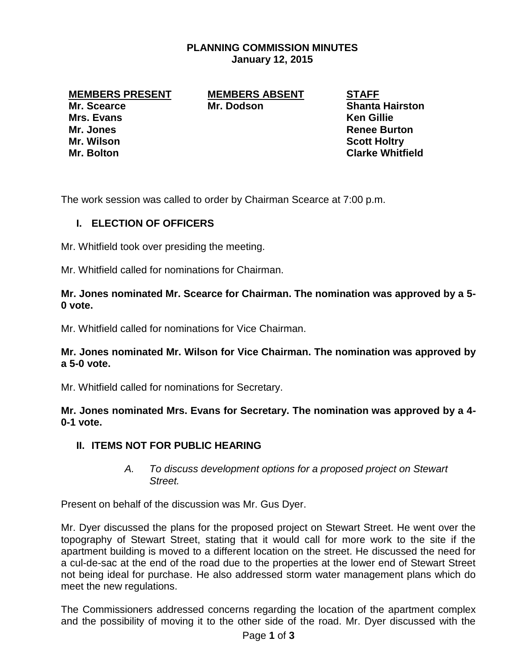## **PLANNING COMMISSION MINUTES January 12, 2015**

**MEMBERS PRESENT MEMBERS ABSENT STAFF**

**Mrs. Evans Ken Gillie Mr. Jones Renee Burton Mr. Wilson Scott Holtry**

**Mr. Scearce Mr. Dodson Shanta Hairston** 

**Mr. Bolton Clarke Whitfield**

The work session was called to order by Chairman Scearce at 7:00 p.m.

# **I. ELECTION OF OFFICERS**

Mr. Whitfield took over presiding the meeting.

Mr. Whitfield called for nominations for Chairman.

#### **Mr. Jones nominated Mr. Scearce for Chairman. The nomination was approved by a 5- 0 vote.**

Mr. Whitfield called for nominations for Vice Chairman.

### **Mr. Jones nominated Mr. Wilson for Vice Chairman. The nomination was approved by a 5-0 vote.**

Mr. Whitfield called for nominations for Secretary.

**Mr. Jones nominated Mrs. Evans for Secretary. The nomination was approved by a 4- 0-1 vote.** 

### **II. ITEMS NOT FOR PUBLIC HEARING**

### *A. To discuss development options for a proposed project on Stewart Street.*

Present on behalf of the discussion was Mr. Gus Dyer.

Mr. Dyer discussed the plans for the proposed project on Stewart Street. He went over the topography of Stewart Street, stating that it would call for more work to the site if the apartment building is moved to a different location on the street. He discussed the need for a cul-de-sac at the end of the road due to the properties at the lower end of Stewart Street not being ideal for purchase. He also addressed storm water management plans which do meet the new regulations.

The Commissioners addressed concerns regarding the location of the apartment complex and the possibility of moving it to the other side of the road. Mr. Dyer discussed with the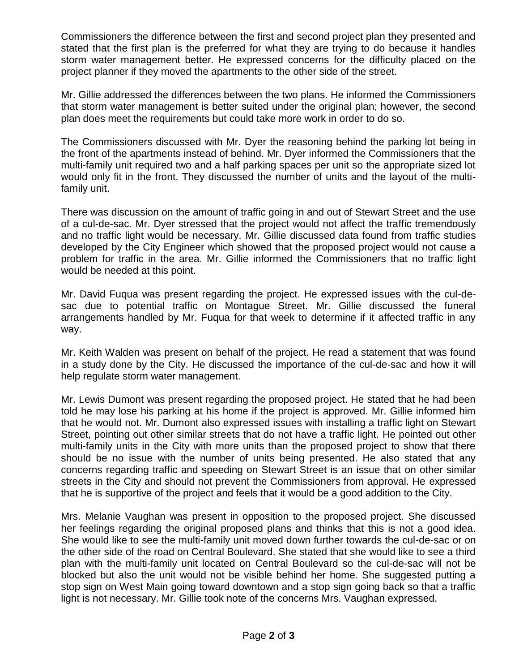Commissioners the difference between the first and second project plan they presented and stated that the first plan is the preferred for what they are trying to do because it handles storm water management better. He expressed concerns for the difficulty placed on the project planner if they moved the apartments to the other side of the street.

Mr. Gillie addressed the differences between the two plans. He informed the Commissioners that storm water management is better suited under the original plan; however, the second plan does meet the requirements but could take more work in order to do so.

The Commissioners discussed with Mr. Dyer the reasoning behind the parking lot being in the front of the apartments instead of behind. Mr. Dyer informed the Commissioners that the multi-family unit required two and a half parking spaces per unit so the appropriate sized lot would only fit in the front. They discussed the number of units and the layout of the multifamily unit.

There was discussion on the amount of traffic going in and out of Stewart Street and the use of a cul-de-sac. Mr. Dyer stressed that the project would not affect the traffic tremendously and no traffic light would be necessary. Mr. Gillie discussed data found from traffic studies developed by the City Engineer which showed that the proposed project would not cause a problem for traffic in the area. Mr. Gillie informed the Commissioners that no traffic light would be needed at this point.

Mr. David Fuqua was present regarding the project. He expressed issues with the cul-desac due to potential traffic on Montague Street. Mr. Gillie discussed the funeral arrangements handled by Mr. Fuqua for that week to determine if it affected traffic in any way.

Mr. Keith Walden was present on behalf of the project. He read a statement that was found in a study done by the City. He discussed the importance of the cul-de-sac and how it will help regulate storm water management.

Mr. Lewis Dumont was present regarding the proposed project. He stated that he had been told he may lose his parking at his home if the project is approved. Mr. Gillie informed him that he would not. Mr. Dumont also expressed issues with installing a traffic light on Stewart Street, pointing out other similar streets that do not have a traffic light. He pointed out other multi-family units in the City with more units than the proposed project to show that there should be no issue with the number of units being presented. He also stated that any concerns regarding traffic and speeding on Stewart Street is an issue that on other similar streets in the City and should not prevent the Commissioners from approval. He expressed that he is supportive of the project and feels that it would be a good addition to the City.

Mrs. Melanie Vaughan was present in opposition to the proposed project. She discussed her feelings regarding the original proposed plans and thinks that this is not a good idea. She would like to see the multi-family unit moved down further towards the cul-de-sac or on the other side of the road on Central Boulevard. She stated that she would like to see a third plan with the multi-family unit located on Central Boulevard so the cul-de-sac will not be blocked but also the unit would not be visible behind her home. She suggested putting a stop sign on West Main going toward downtown and a stop sign going back so that a traffic light is not necessary. Mr. Gillie took note of the concerns Mrs. Vaughan expressed.